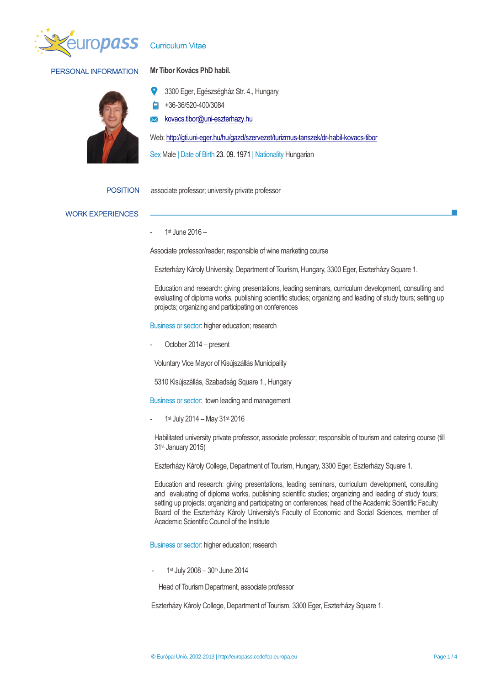

## PERSONAL INFORMATION **Mr Tibor Kovács PhD habil.**

Curriculum Vitae



3300 Eger, Egészségház Str. 4., Hungary

- +36-36/520-400/3084
- [kovacs.tibor@uni-eszterhazy.hu](mailto:kovacs.tibor@uni-eszterhazy.hu)

Web[: http://gti.uni-eger.hu/hu/gazd/szervezet/turizmus-tanszek/dr-habil-kovacs-tibor](http://gti.uni-eger.hu/hu/gazd/szervezet/turizmus-tanszek/dr-habil-kovacs-tibor)

Sex Male | Date of Birth 23. 09. 1971 | Nationality Hungarian

POSITION associate professor; university private professor

### WORK EXPERIENCES

- 1st June 2016 –

Associate professor/reader; responsible of wine marketing course

Eszterházy Károly University, Department of Tourism, Hungary, 3300 Eger, Eszterházy Square 1.

Education and research: giving presentations, leading seminars, curriculum development, consulting and evaluating of diploma works, publishing scientific studies; organizing and leading of study tours; setting up projects; organizing and participating on conferences

Business or sector: higher education; research

October 2014 – present

Voluntary Vice Mayor of Kisújszállás Municipality

5310 Kisújszállás, Szabadság Square 1., Hungary

Business or sector: town leading and management

- 1<sup>st</sup> July 2014 – May 31<sup>st</sup> 2016

Habilitated university private professor, associate professor; responsible of tourism and catering course (till 31st January 2015)

Eszterházy Károly College, Department of Tourism, Hungary, 3300 Eger, Eszterházy Square 1.

Education and research: giving presentations, leading seminars, curriculum development, consulting and evaluating of diploma works, publishing scientific studies; organizing and leading of study tours; setting up projects; organizing and participating on conferences; head of the Academic Scientific Faculty Board of the Eszterházy Károly University's Faculty of Economic and Social Sciences, member of Academic Scientific Council of the Institute

Business or sector: higher education; research

- 1<sup>st</sup> July 2008 - 30<sup>th</sup> June 2014

Head of Tourism Department, associate professor

Eszterházy Károly College, Department of Tourism, 3300 Eger, Eszterházy Square 1.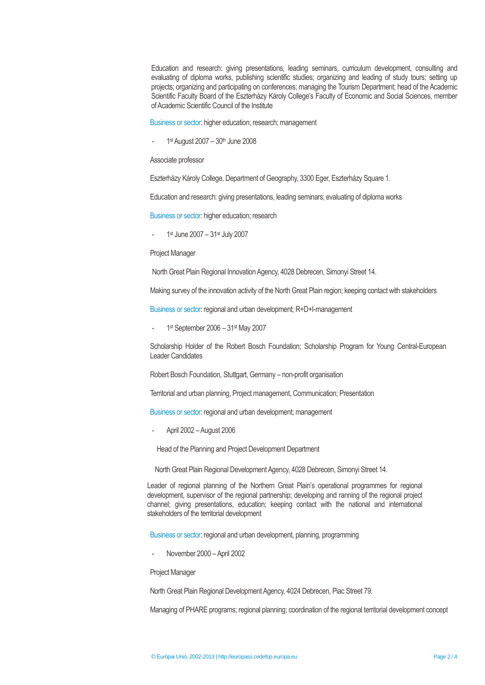Education and research: giving presentations, leading seminars, curriculum development, consulting and evaluating of diploma works, publishing scientific studies; organizing and leading of study tours; setting up projects; organizing and participating on conferences; managing the Tourism Department; head of the Academic Scientific Faculty Board of the Eszterházy Károly College's Faculty of Economic and Social Sciences, member of Academic Scientific Council of the Institute

Business or sector: higher education; research; management

- 1<sup>st</sup> August 2007 – 30<sup>th</sup> June 2008

### Associate professor

Eszterházy Károly College, Department of Geography, 3300 Eger, Eszterházy Square 1.

Education and research: giving presentations, leading seminars; evaluating of diploma works

Business or sector: higher education; research

- 1<sup>st</sup> June 2007 – 31<sup>st</sup> July 2007

Project Manager

North Great Plain Regional Innovation Agency, 4028 Debrecen, Simonyi Street 14.

Making survey of the innovation activity of the North Great Plain region; keeping contact with stakeholders

Business or sector: regional and urban development; R+D+I-management

- 1<sup>st</sup> September 2006 – 31<sup>st</sup> May 2007

Scholarship Holder of the Robert Bosch Foundation; Scholarship Program for Young Central-European Leader Candidates

Robert Bosch Foundation, Stuttgart, Germany – non-profit organisation

Territorial and urban planning, Project management, Communication; Presentation

Business or sector: regional and urban development; management

- April 2002 –August 2006

Head of the Planning and Project Development Department

North Great Plain Regional Development Agency, 4028 Debrecen, Simonyi Street 14.

Leader of regional planning of the Northern Great Plain's operational programmes for regional development, supervisor of the regional partnership; developing and ranning of the regional project channel; giving presentations, education; keeping contact with the national and international stakeholders of the territorial development

Business or sector: regional and urban development, planning, programming

November 2000 – April 2002

Project Manager

North Great Plain Regional Development Agency, 4024 Debrecen, Piac Street 79.

Managing of PHARE programs; regional planning; coordination of the regional territorial development concept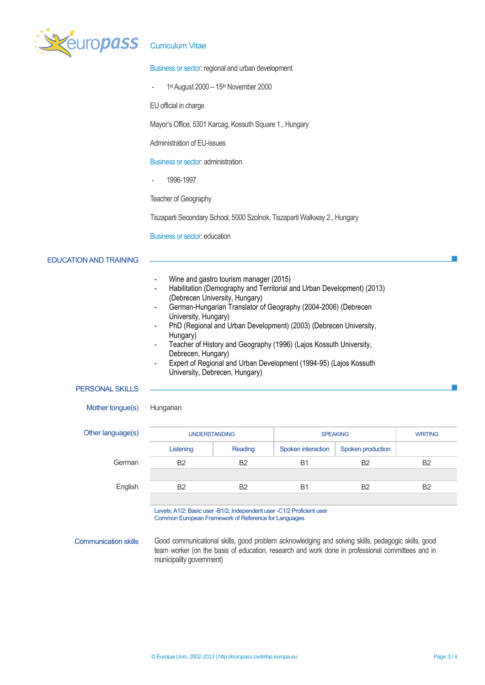

### Business or sector: regional and urban development

- 1<sup>st</sup> August 2000 – 15<sup>th</sup> November 2000

EU official in charge

Mayor's Office, 5301 Karcag, Kossuth Square 1., Hungary

Administration of EU-issues

Business or sector: administration

- 1996-1997

Teacher of Geography

Tiszaparti Secondary School, 5000 Szolnok, Tiszaparti Walkway 2., Hungary

Business or sector: education

### EDUCATION AND TRAINING

- Wine and gastro tourism manager (2015)
- Habilitation (Demography and Territorial and Urban Development) (2013) (Debrecen University, Hungary)
- German-Hungarian Translator of Geography (2004-2006) (Debrecen University, Hungary)
- PhD (Regional and Urban Development) (2003) (Debrecen University, Hungary)
- Teacher of History and Geography (1996) (Lajos Kossuth University, Debrecen, Hungary)
- Expert of Regional and Urban Development (1994-95) (Lajos Kossuth University, Debrecen, Hungary)

### PERSONAL SKILLS

Mother tongue(s) Hungarian

| Other language(s) | <b>UNDERSTANDING</b> |                | <b>SPEAKING</b>    |                   | <b>WRITING</b> |
|-------------------|----------------------|----------------|--------------------|-------------------|----------------|
|                   | Listening            | Reading        | Spoken interaction | Spoken production |                |
| German            | <b>B2</b>            | B <sub>2</sub> | <b>B1</b>          | B <sub>2</sub>    | <b>B2</b>      |
| English           | <b>B2</b>            | B <sub>2</sub> | <b>B1</b>          | B <sub>2</sub>    | <b>B2</b>      |

Levels: A1/2: Basic user -B1/2: Independent user -C1/2 Proficient user Common European Framework of Reference for Languages

Communication skills Good communicational skills, good problem acknowledging and solving skills, pedagogic skills, good team worker (on the basis of education, research and work done in professional committees and in municipality government)